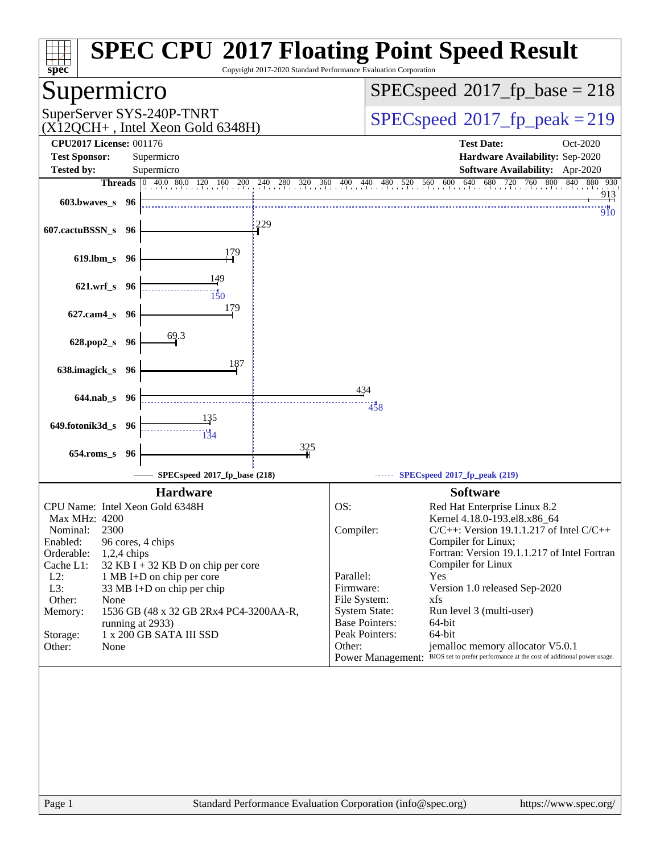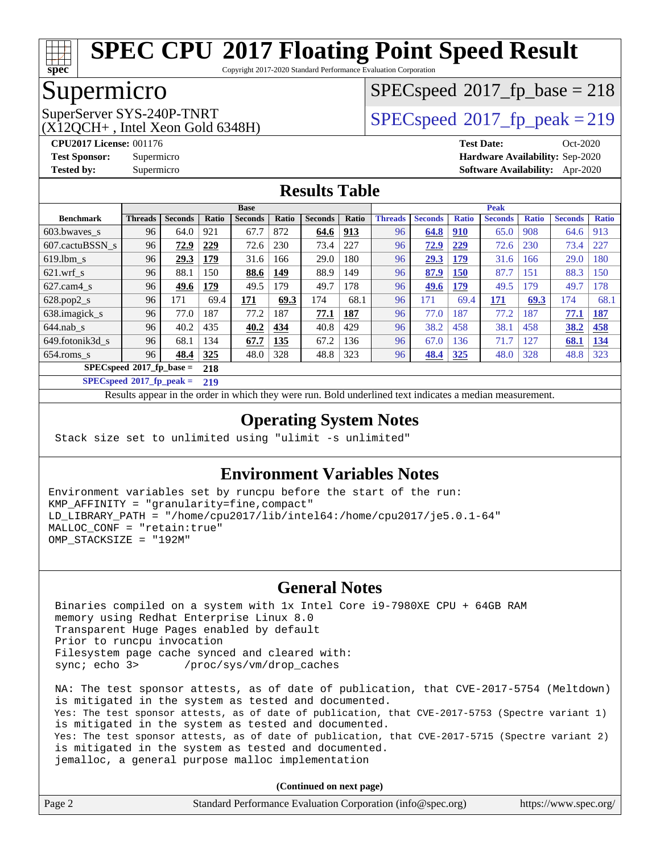

Copyright 2017-2020 Standard Performance Evaluation Corporation

## Supermicro

 $(X12OCH+$ , Intel Xeon Gold 6348H)

[SPECspeed](http://www.spec.org/auto/cpu2017/Docs/result-fields.html#SPECspeed2017fpbase)<sup>®</sup>2017 fp base = 218

SuperServer SYS-240P-TNRT <br>[SPECspeed](http://www.spec.org/auto/cpu2017/Docs/result-fields.html#SPECspeed2017fppeak)<sup>®</sup>[2017\\_fp\\_peak = 2](http://www.spec.org/auto/cpu2017/Docs/result-fields.html#SPECspeed2017fppeak)19

**[CPU2017 License:](http://www.spec.org/auto/cpu2017/Docs/result-fields.html#CPU2017License)** 001176 **[Test Date:](http://www.spec.org/auto/cpu2017/Docs/result-fields.html#TestDate)** Oct-2020 **[Test Sponsor:](http://www.spec.org/auto/cpu2017/Docs/result-fields.html#TestSponsor)** Supermicro **[Hardware Availability:](http://www.spec.org/auto/cpu2017/Docs/result-fields.html#HardwareAvailability)** Sep-2020 **[Tested by:](http://www.spec.org/auto/cpu2017/Docs/result-fields.html#Testedby)** Supermicro **[Software Availability:](http://www.spec.org/auto/cpu2017/Docs/result-fields.html#SoftwareAvailability)** Apr-2020

### **[Results Table](http://www.spec.org/auto/cpu2017/Docs/result-fields.html#ResultsTable)**

|                             | <b>Base</b>    |                |              |                |       | <b>Peak</b>    |            |                |                |              |                |              |                |              |
|-----------------------------|----------------|----------------|--------------|----------------|-------|----------------|------------|----------------|----------------|--------------|----------------|--------------|----------------|--------------|
| <b>Benchmark</b>            | <b>Threads</b> | <b>Seconds</b> | <b>Ratio</b> | <b>Seconds</b> | Ratio | <b>Seconds</b> | Ratio      | <b>Threads</b> | <b>Seconds</b> | <b>Ratio</b> | <b>Seconds</b> | <b>Ratio</b> | <b>Seconds</b> | <b>Ratio</b> |
| 603.bwayes_s                | 96             | 64.0           | 921          | 67.7           | 872   | 64.6           | <u>913</u> | 96             | 64.8           | <u>910</u>   | 65.0           | 908          | 64.6           | 913          |
| 607.cactuBSSN s             | 96             | 72.9           | 229          | 72.6           | 230   | 73.4           | 227        | 96             | 72.9           | 229          | 72.6           | 230          | 73.4           | 227          |
| $619.$ lbm s                | 96             | 29.3           | 179          | 31.6           | 166   | 29.0           | 180        | 96             | 29.3           | 179          | 31.6           | 166          | 29.0           | 180          |
| $621$ .wrf s                | 96             | 88.1           | 150          | 88.6           | 149   | 88.9           | 149        | 96             | 87.9           | 150          | 87.7           | 151          | 88.3           | 150          |
| $627$ .cam4 s               | 96             | 49.6           | 179          | 49.5           | 179   | 49.7           | 178        | 96             | 49.6           | 179          | 49.5           | 179          | 49.7           | 178          |
| $628.pop2_s$                | 96             | 171            | 69.4         | 171            | 69.3  | 174            | 68.1       | 96             | 171            | 69.4         | 171            | 69.3         | 174            | 68.1         |
| 638.imagick_s               | 96             | 77.0           | 187          | 77.2           | 187   | 77.1           | 187        | 96             | 77.0           | 187          | 77.2           | 187          | 77.1           | 187          |
| $644$ .nab s                | 96             | 40.2           | 435          | 40.2           | 434   | 40.8           | 429        | 96             | 38.2           | 458          | 38.1           | 458          | 38.2           | 458          |
| 649.fotonik3d s             | 96             | 68.1           | 134          | 67.7           | 135   | 67.2           | <b>36</b>  | 96             | 67.0           | 136          | 71.7           | 127          | 68.1           | 134          |
| $654$ .roms s               | 96             | 48.4           | 325          | 48.0           | 328   | 48.8           | 323        | 96             | 48.4           | <b>325</b>   | 48.0           | 328          | 48.8           | 323          |
| $SPECspeed*2017_fp\_base =$ |                |                | 218          |                |       |                |            |                |                |              |                |              |                |              |

**[SPECspeed](http://www.spec.org/auto/cpu2017/Docs/result-fields.html#SPECspeed2017fppeak)[2017\\_fp\\_peak =](http://www.spec.org/auto/cpu2017/Docs/result-fields.html#SPECspeed2017fppeak) 219**

Results appear in the [order in which they were run.](http://www.spec.org/auto/cpu2017/Docs/result-fields.html#RunOrder) Bold underlined text [indicates a median measurement](http://www.spec.org/auto/cpu2017/Docs/result-fields.html#Median).

### **[Operating System Notes](http://www.spec.org/auto/cpu2017/Docs/result-fields.html#OperatingSystemNotes)**

Stack size set to unlimited using "ulimit -s unlimited"

### **[Environment Variables Notes](http://www.spec.org/auto/cpu2017/Docs/result-fields.html#EnvironmentVariablesNotes)**

Environment variables set by runcpu before the start of the run: KMP\_AFFINITY = "granularity=fine,compact" LD\_LIBRARY\_PATH = "/home/cpu2017/lib/intel64:/home/cpu2017/je5.0.1-64" MALLOC\_CONF = "retain:true" OMP\_STACKSIZE = "192M"

### **[General Notes](http://www.spec.org/auto/cpu2017/Docs/result-fields.html#GeneralNotes)**

 Binaries compiled on a system with 1x Intel Core i9-7980XE CPU + 64GB RAM memory using Redhat Enterprise Linux 8.0 Transparent Huge Pages enabled by default Prior to runcpu invocation Filesystem page cache synced and cleared with: sync; echo 3> /proc/sys/vm/drop\_caches

 NA: The test sponsor attests, as of date of publication, that CVE-2017-5754 (Meltdown) is mitigated in the system as tested and documented. Yes: The test sponsor attests, as of date of publication, that CVE-2017-5753 (Spectre variant 1) is mitigated in the system as tested and documented. Yes: The test sponsor attests, as of date of publication, that CVE-2017-5715 (Spectre variant 2) is mitigated in the system as tested and documented. jemalloc, a general purpose malloc implementation

| Page 2 | Standard Performance Evaluation Corporation (info@spec.org) | https://www.spec.org/ |
|--------|-------------------------------------------------------------|-----------------------|
|--------|-------------------------------------------------------------|-----------------------|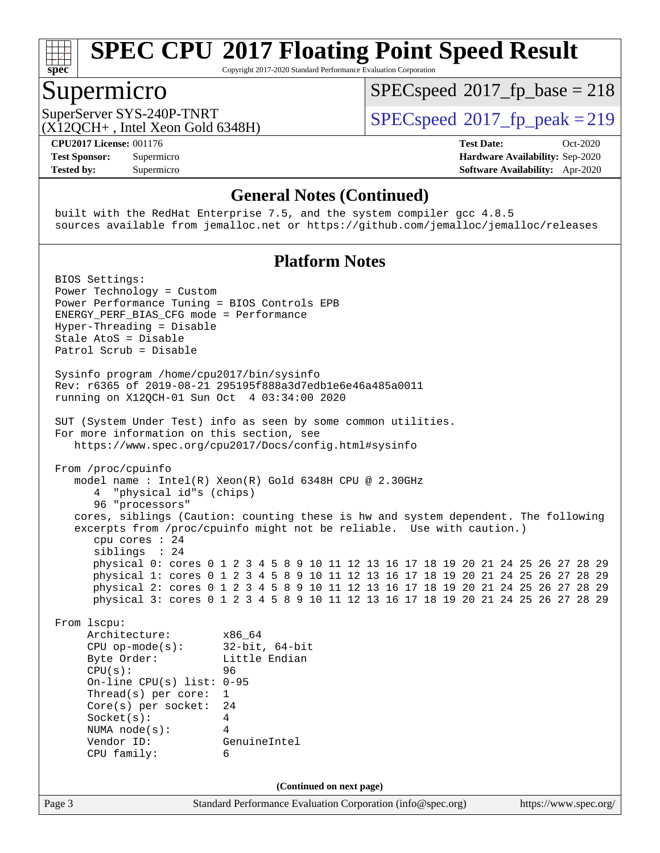

Copyright 2017-2020 Standard Performance Evaluation Corporation

### Supermicro

[SPECspeed](http://www.spec.org/auto/cpu2017/Docs/result-fields.html#SPECspeed2017fpbase)<sup>®</sup>2017 fp base = 218

 $(X12OCH+$ , Intel Xeon Gold 6348H)

SuperServer SYS-240P-TNRT <br>[SPECspeed](http://www.spec.org/auto/cpu2017/Docs/result-fields.html#SPECspeed2017fppeak)<sup>®</sup>[2017\\_fp\\_peak = 2](http://www.spec.org/auto/cpu2017/Docs/result-fields.html#SPECspeed2017fppeak)19

**[CPU2017 License:](http://www.spec.org/auto/cpu2017/Docs/result-fields.html#CPU2017License)** 001176 **[Test Date:](http://www.spec.org/auto/cpu2017/Docs/result-fields.html#TestDate)** Oct-2020 **[Test Sponsor:](http://www.spec.org/auto/cpu2017/Docs/result-fields.html#TestSponsor)** Supermicro **[Hardware Availability:](http://www.spec.org/auto/cpu2017/Docs/result-fields.html#HardwareAvailability)** Sep-2020 **[Tested by:](http://www.spec.org/auto/cpu2017/Docs/result-fields.html#Testedby)** Supermicro **[Software Availability:](http://www.spec.org/auto/cpu2017/Docs/result-fields.html#SoftwareAvailability)** Apr-2020

### **[General Notes \(Continued\)](http://www.spec.org/auto/cpu2017/Docs/result-fields.html#GeneralNotes)**

 built with the RedHat Enterprise 7.5, and the system compiler gcc 4.8.5 sources available from jemalloc.net or <https://github.com/jemalloc/jemalloc/releases>

### **[Platform Notes](http://www.spec.org/auto/cpu2017/Docs/result-fields.html#PlatformNotes)**

Page 3 Standard Performance Evaluation Corporation [\(info@spec.org\)](mailto:info@spec.org) <https://www.spec.org/> BIOS Settings: Power Technology = Custom Power Performance Tuning = BIOS Controls EPB ENERGY\_PERF\_BIAS\_CFG mode = Performance Hyper-Threading = Disable Stale AtoS = Disable Patrol Scrub = Disable Sysinfo program /home/cpu2017/bin/sysinfo Rev: r6365 of 2019-08-21 295195f888a3d7edb1e6e46a485a0011 running on X12QCH-01 Sun Oct 4 03:34:00 2020 SUT (System Under Test) info as seen by some common utilities. For more information on this section, see <https://www.spec.org/cpu2017/Docs/config.html#sysinfo> From /proc/cpuinfo model name : Intel(R) Xeon(R) Gold 6348H CPU @ 2.30GHz 4 "physical id"s (chips) 96 "processors" cores, siblings (Caution: counting these is hw and system dependent. The following excerpts from /proc/cpuinfo might not be reliable. Use with caution.) cpu cores : 24 siblings : 24 physical 0: cores 0 1 2 3 4 5 8 9 10 11 12 13 16 17 18 19 20 21 24 25 26 27 28 29 physical 1: cores 0 1 2 3 4 5 8 9 10 11 12 13 16 17 18 19 20 21 24 25 26 27 28 29 physical 2: cores 0 1 2 3 4 5 8 9 10 11 12 13 16 17 18 19 20 21 24 25 26 27 28 29 physical 3: cores 0 1 2 3 4 5 8 9 10 11 12 13 16 17 18 19 20 21 24 25 26 27 28 29 From lscpu: Architecture: x86\_64 CPU op-mode(s): 32-bit, 64-bit Byte Order: Little Endian CPU(s): 96 On-line CPU(s) list: 0-95 Thread(s) per core: 1 Core(s) per socket: 24 Socket(s): 4 NUMA node(s): 4 Vendor ID: GenuineIntel CPU family: 6 **(Continued on next page)**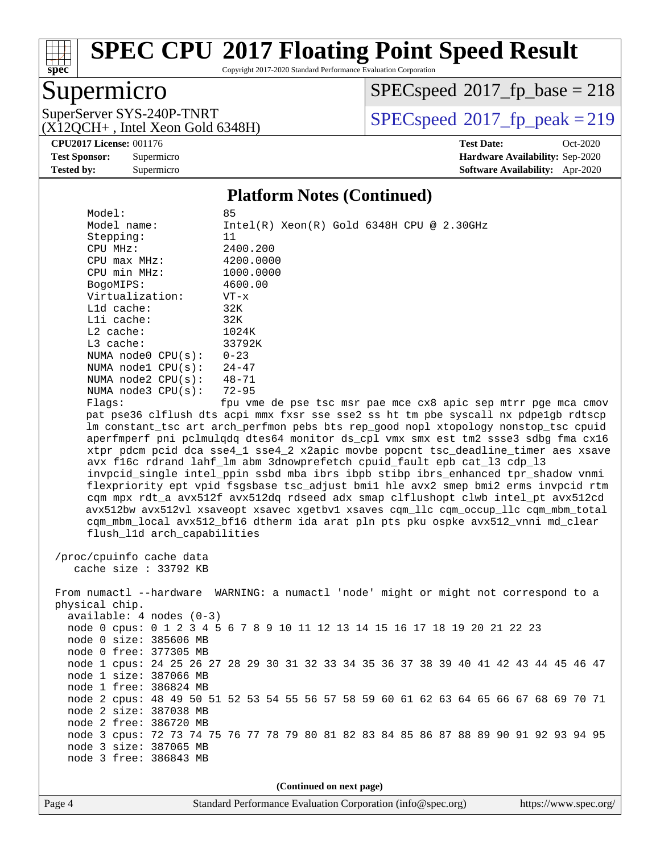

Copyright 2017-2020 Standard Performance Evaluation Corporation

## Supermicro

(X12QCH+ , Intel Xeon Gold 6348H)

 $SPECspeed*2017_fp\_base = 218$  $SPECspeed*2017_fp\_base = 218$ 

SuperServer SYS-240P-TNRT <br> $(SPECspeed@2017<sub>fr</sub> peak = 219$  $(SPECspeed@2017<sub>fr</sub> peak = 219$  $(SPECspeed@2017<sub>fr</sub> peak = 219$ 

**[CPU2017 License:](http://www.spec.org/auto/cpu2017/Docs/result-fields.html#CPU2017License)** 001176 **[Test Date:](http://www.spec.org/auto/cpu2017/Docs/result-fields.html#TestDate)** Oct-2020 **[Test Sponsor:](http://www.spec.org/auto/cpu2017/Docs/result-fields.html#TestSponsor)** Supermicro **[Hardware Availability:](http://www.spec.org/auto/cpu2017/Docs/result-fields.html#HardwareAvailability)** Sep-2020 **[Tested by:](http://www.spec.org/auto/cpu2017/Docs/result-fields.html#Testedby)** Supermicro **[Software Availability:](http://www.spec.org/auto/cpu2017/Docs/result-fields.html#SoftwareAvailability)** Apr-2020

### **[Platform Notes \(Continued\)](http://www.spec.org/auto/cpu2017/Docs/result-fields.html#PlatformNotes)**

| Model:<br>Model name:<br>Stepping:<br>CPU MHz:<br>CPU max MHz:<br>CPU min MHz:<br>BogoMIPS:<br>Virtualization:<br>L1d cache:<br>Lli cache:<br>$L2$ cache:<br>L3 cache:<br>NUMA $node0$ $CPU(s)$ :<br>NUMA $node1$ $CPU(s):$ | 85<br>$Intel(R) Xeon(R) Gold 6348H CPU @ 2.30GHz$<br>11<br>2400.200<br>4200.0000<br>1000.0000<br>4600.00<br>$VT - x$<br>32K<br>32K<br>1024K<br>33792K<br>$0 - 23$<br>24-47                                                                                                                                                                                                                                                                                                                                                                                                                                                                                                                                                                                                                                                                                                                                                                  |
|-----------------------------------------------------------------------------------------------------------------------------------------------------------------------------------------------------------------------------|---------------------------------------------------------------------------------------------------------------------------------------------------------------------------------------------------------------------------------------------------------------------------------------------------------------------------------------------------------------------------------------------------------------------------------------------------------------------------------------------------------------------------------------------------------------------------------------------------------------------------------------------------------------------------------------------------------------------------------------------------------------------------------------------------------------------------------------------------------------------------------------------------------------------------------------------|
| NUMA $node2$ $CPU(s):$                                                                                                                                                                                                      | $48 - 71$                                                                                                                                                                                                                                                                                                                                                                                                                                                                                                                                                                                                                                                                                                                                                                                                                                                                                                                                   |
| NUMA $node3$ CPU $(s)$ :                                                                                                                                                                                                    | $72 - 95$                                                                                                                                                                                                                                                                                                                                                                                                                                                                                                                                                                                                                                                                                                                                                                                                                                                                                                                                   |
| Flags:<br>flush_l1d arch_capabilities<br>/proc/cpuinfo cache data<br>cache size : 33792 KB                                                                                                                                  | fpu vme de pse tsc msr pae mce cx8 apic sep mtrr pge mca cmov<br>pat pse36 clflush dts acpi mmx fxsr sse sse2 ss ht tm pbe syscall nx pdpelgb rdtscp<br>lm constant_tsc art arch_perfmon pebs bts rep_good nopl xtopology nonstop_tsc cpuid<br>aperfmperf pni pclmulqdq dtes64 monitor ds_cpl vmx smx est tm2 ssse3 sdbg fma cx16<br>xtpr pdcm pcid dca sse4_1 sse4_2 x2apic movbe popcnt tsc_deadline_timer aes xsave<br>avx f16c rdrand lahf_lm abm 3dnowprefetch cpuid_fault epb cat_13 cdp_13<br>invpcid_single intel_ppin ssbd mba ibrs ibpb stibp ibrs_enhanced tpr_shadow vnmi<br>flexpriority ept vpid fsgsbase tsc_adjust bmil hle avx2 smep bmi2 erms invpcid rtm<br>cqm mpx rdt_a avx512f avx512dq rdseed adx smap clflushopt clwb intel_pt avx512cd<br>avx512bw avx512vl xsaveopt xsavec xgetbvl xsaves cqm_llc cqm_occup_llc cqm_mbm_total<br>cqm_mbm_local avx512_bf16 dtherm ida arat pln pts pku ospke avx512_vnni md_clear |
|                                                                                                                                                                                                                             |                                                                                                                                                                                                                                                                                                                                                                                                                                                                                                                                                                                                                                                                                                                                                                                                                                                                                                                                             |
| physical chip.<br>$available: 4 nodes (0-3)$<br>node 0 size: 385606 MB                                                                                                                                                      | From numactl --hardware WARNING: a numactl 'node' might or might not correspond to a<br>node 0 cpus: 0 1 2 3 4 5 6 7 8 9 10 11 12 13 14 15 16 17 18 19 20 21 22 23                                                                                                                                                                                                                                                                                                                                                                                                                                                                                                                                                                                                                                                                                                                                                                          |
| node 0 free: 377305 MB                                                                                                                                                                                                      |                                                                                                                                                                                                                                                                                                                                                                                                                                                                                                                                                                                                                                                                                                                                                                                                                                                                                                                                             |
|                                                                                                                                                                                                                             | node 1 cpus: 24 25 26 27 28 29 30 31 32 33 34 35 36 37 38 39 40 41 42 43 44 45 46 47                                                                                                                                                                                                                                                                                                                                                                                                                                                                                                                                                                                                                                                                                                                                                                                                                                                        |
| node 1 size: 387066 MB                                                                                                                                                                                                      |                                                                                                                                                                                                                                                                                                                                                                                                                                                                                                                                                                                                                                                                                                                                                                                                                                                                                                                                             |
| node 1 free: 386824 MB                                                                                                                                                                                                      |                                                                                                                                                                                                                                                                                                                                                                                                                                                                                                                                                                                                                                                                                                                                                                                                                                                                                                                                             |
|                                                                                                                                                                                                                             | node 2 cpus: 48 49 50 51 52 53 54 55 56 57 58 59 60 61 62 63 64 65 66 67 68 69 70 71                                                                                                                                                                                                                                                                                                                                                                                                                                                                                                                                                                                                                                                                                                                                                                                                                                                        |
| node 2 size: 387038 MB                                                                                                                                                                                                      |                                                                                                                                                                                                                                                                                                                                                                                                                                                                                                                                                                                                                                                                                                                                                                                                                                                                                                                                             |
| node 2 free: 386720 MB                                                                                                                                                                                                      | node 3 cpus: 72 73 74 75 76 77 78 79 80 81 82 83 84 85 86 87 88 89 90 91 92 93 94 95                                                                                                                                                                                                                                                                                                                                                                                                                                                                                                                                                                                                                                                                                                                                                                                                                                                        |
| node 3 size: 387065 MB                                                                                                                                                                                                      |                                                                                                                                                                                                                                                                                                                                                                                                                                                                                                                                                                                                                                                                                                                                                                                                                                                                                                                                             |
| node 3 free: 386843 MB                                                                                                                                                                                                      |                                                                                                                                                                                                                                                                                                                                                                                                                                                                                                                                                                                                                                                                                                                                                                                                                                                                                                                                             |
|                                                                                                                                                                                                                             |                                                                                                                                                                                                                                                                                                                                                                                                                                                                                                                                                                                                                                                                                                                                                                                                                                                                                                                                             |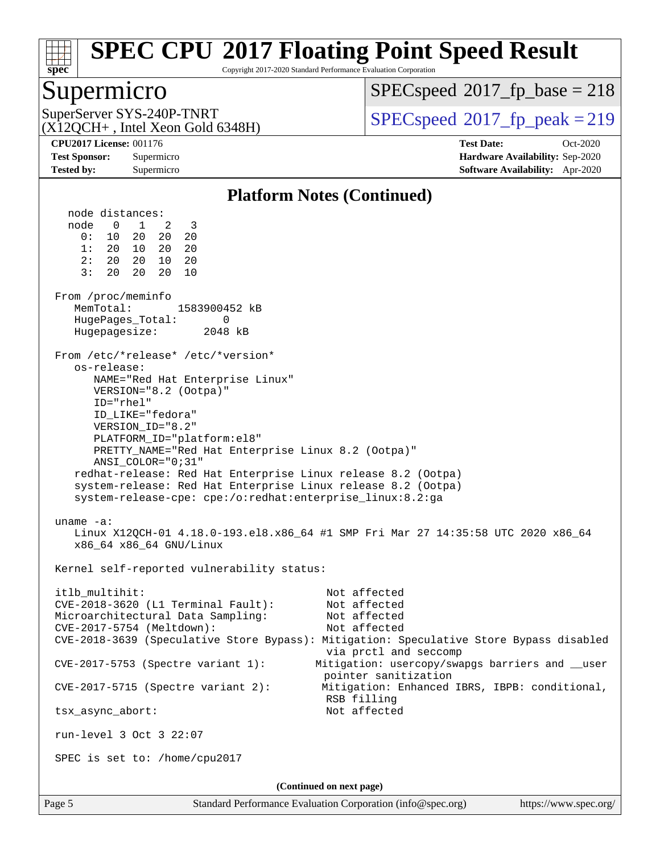

Copyright 2017-2020 Standard Performance Evaluation Corporation

### Supermicro

(X12QCH+ , Intel Xeon Gold 6348H)

[SPECspeed](http://www.spec.org/auto/cpu2017/Docs/result-fields.html#SPECspeed2017fpbase)<sup>®</sup>2017 fp base = 218

SuperServer SYS-240P-TNRT <br>[SPECspeed](http://www.spec.org/auto/cpu2017/Docs/result-fields.html#SPECspeed2017fppeak)<sup>®</sup>[2017\\_fp\\_peak = 2](http://www.spec.org/auto/cpu2017/Docs/result-fields.html#SPECspeed2017fppeak)19

**[CPU2017 License:](http://www.spec.org/auto/cpu2017/Docs/result-fields.html#CPU2017License)** 001176 **[Test Date:](http://www.spec.org/auto/cpu2017/Docs/result-fields.html#TestDate)** Oct-2020 **[Test Sponsor:](http://www.spec.org/auto/cpu2017/Docs/result-fields.html#TestSponsor)** Supermicro **[Hardware Availability:](http://www.spec.org/auto/cpu2017/Docs/result-fields.html#HardwareAvailability)** Sep-2020 **[Tested by:](http://www.spec.org/auto/cpu2017/Docs/result-fields.html#Testedby)** Supermicro **[Software Availability:](http://www.spec.org/auto/cpu2017/Docs/result-fields.html#SoftwareAvailability)** Apr-2020

### **[Platform Notes \(Continued\)](http://www.spec.org/auto/cpu2017/Docs/result-fields.html#PlatformNotes)**

 node distances: node 0 1 2 3 0: 10 20 20 20 1: 20 10 20 20 2: 20 20 10 20 3: 20 20 20 10 From /proc/meminfo MemTotal: 1583900452 kB HugePages\_Total: 0 Hugepagesize: 2048 kB From /etc/\*release\* /etc/\*version\* os-release: NAME="Red Hat Enterprise Linux" VERSION="8.2 (Ootpa)" ID="rhel" ID\_LIKE="fedora" VERSION\_ID="8.2" PLATFORM\_ID="platform:el8" PRETTY\_NAME="Red Hat Enterprise Linux 8.2 (Ootpa)" ANSI\_COLOR="0;31" redhat-release: Red Hat Enterprise Linux release 8.2 (Ootpa) system-release: Red Hat Enterprise Linux release 8.2 (Ootpa) system-release-cpe: cpe:/o:redhat:enterprise\_linux:8.2:ga uname -a: Linux X12QCH-01 4.18.0-193.el8.x86\_64 #1 SMP Fri Mar 27 14:35:58 UTC 2020 x86\_64 x86\_64 x86\_64 GNU/Linux Kernel self-reported vulnerability status: itlb\_multihit: Not affected CVE-2018-3620 (L1 Terminal Fault): Not affected Microarchitectural Data Sampling: Not affected CVE-2017-5754 (Meltdown): Not affected CVE-2018-3639 (Speculative Store Bypass): Mitigation: Speculative Store Bypass disabled via prctl and seccomp CVE-2017-5753 (Spectre variant 1): Mitigation: usercopy/swapgs barriers and \_\_user pointer sanitization CVE-2017-5715 (Spectre variant 2): Mitigation: Enhanced IBRS, IBPB: conditional, RSB filling tsx\_async\_abort: Not affected run-level 3 Oct 3 22:07 SPEC is set to: /home/cpu2017 **(Continued on next page)**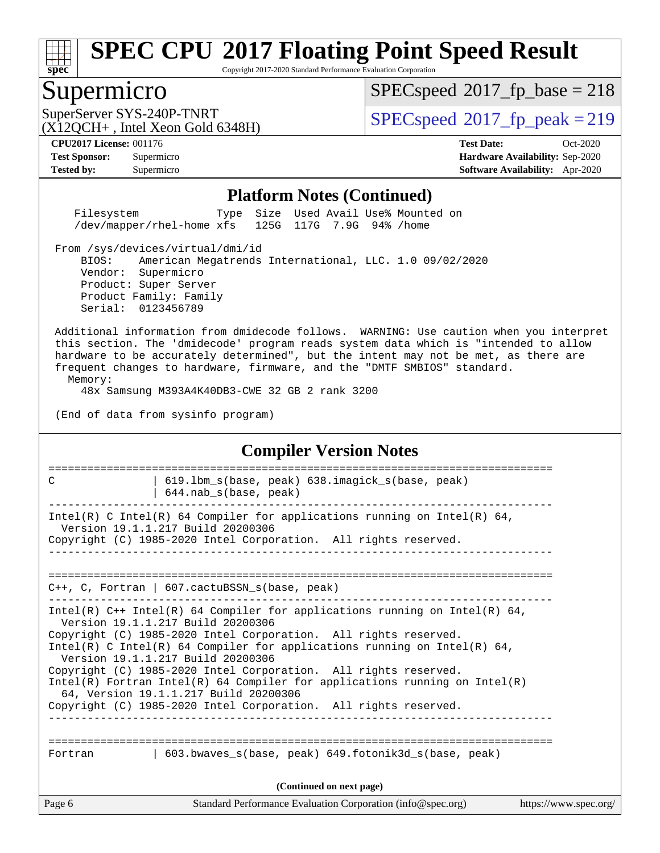

Copyright 2017-2020 Standard Performance Evaluation Corporation

### Supermicro

[SPECspeed](http://www.spec.org/auto/cpu2017/Docs/result-fields.html#SPECspeed2017fpbase)<sup>®</sup>2017 fp base = 218

 $(X12OCH+$ , Intel Xeon Gold 6348H)

SuperServer SYS-240P-TNRT  $SPPC speed^{\circ}2017$  fp\_peak = 219

**[CPU2017 License:](http://www.spec.org/auto/cpu2017/Docs/result-fields.html#CPU2017License)** 001176 **[Test Date:](http://www.spec.org/auto/cpu2017/Docs/result-fields.html#TestDate)** Oct-2020 **[Test Sponsor:](http://www.spec.org/auto/cpu2017/Docs/result-fields.html#TestSponsor)** Supermicro **[Hardware Availability:](http://www.spec.org/auto/cpu2017/Docs/result-fields.html#HardwareAvailability)** Sep-2020 **[Tested by:](http://www.spec.org/auto/cpu2017/Docs/result-fields.html#Testedby)** Supermicro **[Software Availability:](http://www.spec.org/auto/cpu2017/Docs/result-fields.html#SoftwareAvailability)** Apr-2020

### **[Platform Notes \(Continued\)](http://www.spec.org/auto/cpu2017/Docs/result-fields.html#PlatformNotes)**

 Filesystem Type Size Used Avail Use% Mounted on /dev/mapper/rhel-home xfs 125G 117G 7.9G 94% /home

From /sys/devices/virtual/dmi/id

 BIOS: American Megatrends International, LLC. 1.0 09/02/2020 Vendor: Supermicro Product: Super Server Product Family: Family Serial: 0123456789

 Additional information from dmidecode follows. WARNING: Use caution when you interpret this section. The 'dmidecode' program reads system data which is "intended to allow hardware to be accurately determined", but the intent may not be met, as there are frequent changes to hardware, firmware, and the "DMTF SMBIOS" standard. Memory:

48x Samsung M393A4K40DB3-CWE 32 GB 2 rank 3200

(End of data from sysinfo program)

### **[Compiler Version Notes](http://www.spec.org/auto/cpu2017/Docs/result-fields.html#CompilerVersionNotes)**

Page 6 Standard Performance Evaluation Corporation [\(info@spec.org\)](mailto:info@spec.org) <https://www.spec.org/> ============================================================================== C | 619.lbm\_s(base, peak) 638.imagick\_s(base, peak) | 644.nab\_s(base, peak) ------------------------------------------------------------------------------ Intel(R) C Intel(R) 64 Compiler for applications running on Intel(R)  $64$ , Version 19.1.1.217 Build 20200306 Copyright (C) 1985-2020 Intel Corporation. All rights reserved. ------------------------------------------------------------------------------ ============================================================================== C++, C, Fortran | 607.cactuBSSN\_s(base, peak) ------------------------------------------------------------------------------ Intel(R) C++ Intel(R) 64 Compiler for applications running on Intel(R)  $64$ , Version 19.1.1.217 Build 20200306 Copyright (C) 1985-2020 Intel Corporation. All rights reserved. Intel(R) C Intel(R) 64 Compiler for applications running on Intel(R) 64, Version 19.1.1.217 Build 20200306 Copyright (C) 1985-2020 Intel Corporation. All rights reserved. Intel(R) Fortran Intel(R) 64 Compiler for applications running on Intel(R) 64, Version 19.1.1.217 Build 20200306 Copyright (C) 1985-2020 Intel Corporation. All rights reserved. ------------------------------------------------------------------------------ ============================================================================== Fortran 1603.bwaves s(base, peak) 649.fotonik3d s(base, peak) **(Continued on next page)**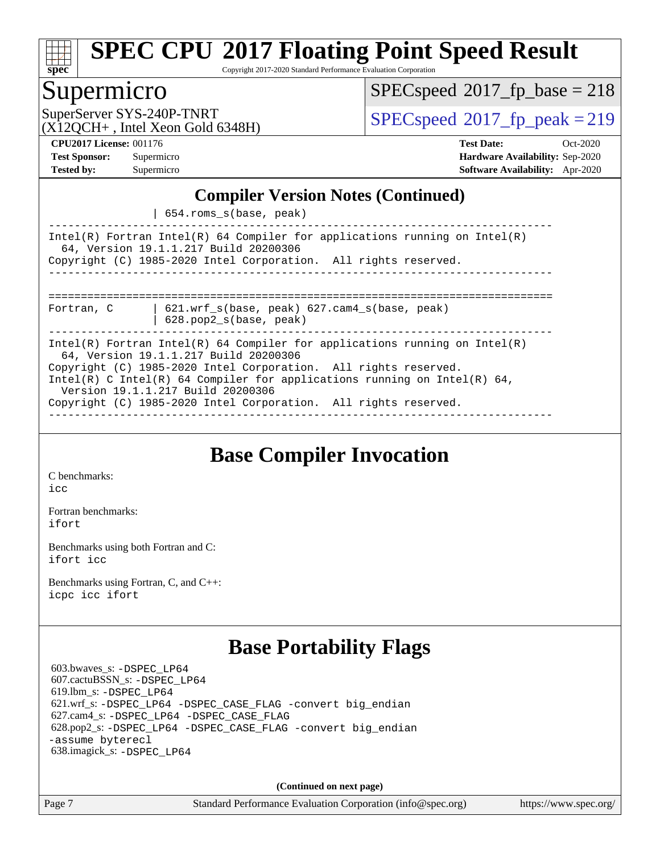

Copyright 2017-2020 Standard Performance Evaluation Corporation

### Supermicro

 $SPEC speed^{\circ}2017\_fp\_base = 218$ 

 $(X12OCH+$ , Intel Xeon Gold 6348H)

SuperServer SYS-240P-TNRT  $SPPC speed^{\circ}2017$  fp\_peak = 219

**[CPU2017 License:](http://www.spec.org/auto/cpu2017/Docs/result-fields.html#CPU2017License)** 001176 **[Test Date:](http://www.spec.org/auto/cpu2017/Docs/result-fields.html#TestDate)** Oct-2020 **[Test Sponsor:](http://www.spec.org/auto/cpu2017/Docs/result-fields.html#TestSponsor)** Supermicro **[Hardware Availability:](http://www.spec.org/auto/cpu2017/Docs/result-fields.html#HardwareAvailability)** Sep-2020 **[Tested by:](http://www.spec.org/auto/cpu2017/Docs/result-fields.html#Testedby)** Supermicro **[Software Availability:](http://www.spec.org/auto/cpu2017/Docs/result-fields.html#SoftwareAvailability)** Apr-2020

### **[Compiler Version Notes \(Continued\)](http://www.spec.org/auto/cpu2017/Docs/result-fields.html#CompilerVersionNotes)**

| 654.roms\_s(base, peak)

------------------------------------------------------------------------------ Intel(R) Fortran Intel(R) 64 Compiler for applications running on Intel(R) 64, Version 19.1.1.217 Build 20200306 Copyright (C) 1985-2020 Intel Corporation. All rights reserved. ------------------------------------------------------------------------------ ==============================================================================

Fortran, C | 621.wrf\_s(base, peak) 627.cam4\_s(base, peak)

| 628.pop2\_s(base, peak)

------------------------------------------------------------------------------ Intel(R) Fortran Intel(R) 64 Compiler for applications running on Intel(R) 64, Version 19.1.1.217 Build 20200306 Copyright (C) 1985-2020 Intel Corporation. All rights reserved. Intel(R) C Intel(R) 64 Compiler for applications running on Intel(R) 64, Version 19.1.1.217 Build 20200306

Copyright (C) 1985-2020 Intel Corporation. All rights reserved.

------------------------------------------------------------------------------

## **[Base Compiler Invocation](http://www.spec.org/auto/cpu2017/Docs/result-fields.html#BaseCompilerInvocation)**

[C benchmarks](http://www.spec.org/auto/cpu2017/Docs/result-fields.html#Cbenchmarks): [icc](http://www.spec.org/cpu2017/results/res2020q4/cpu2017-20201012-24186.flags.html#user_CCbase_intel_icc_66fc1ee009f7361af1fbd72ca7dcefbb700085f36577c54f309893dd4ec40d12360134090235512931783d35fd58c0460139e722d5067c5574d8eaf2b3e37e92)

[Fortran benchmarks](http://www.spec.org/auto/cpu2017/Docs/result-fields.html#Fortranbenchmarks): [ifort](http://www.spec.org/cpu2017/results/res2020q4/cpu2017-20201012-24186.flags.html#user_FCbase_intel_ifort_8111460550e3ca792625aed983ce982f94888b8b503583aa7ba2b8303487b4d8a21a13e7191a45c5fd58ff318f48f9492884d4413fa793fd88dd292cad7027ca)

[Benchmarks using both Fortran and C](http://www.spec.org/auto/cpu2017/Docs/result-fields.html#BenchmarksusingbothFortranandC): [ifort](http://www.spec.org/cpu2017/results/res2020q4/cpu2017-20201012-24186.flags.html#user_CC_FCbase_intel_ifort_8111460550e3ca792625aed983ce982f94888b8b503583aa7ba2b8303487b4d8a21a13e7191a45c5fd58ff318f48f9492884d4413fa793fd88dd292cad7027ca) [icc](http://www.spec.org/cpu2017/results/res2020q4/cpu2017-20201012-24186.flags.html#user_CC_FCbase_intel_icc_66fc1ee009f7361af1fbd72ca7dcefbb700085f36577c54f309893dd4ec40d12360134090235512931783d35fd58c0460139e722d5067c5574d8eaf2b3e37e92)

[Benchmarks using Fortran, C, and C++:](http://www.spec.org/auto/cpu2017/Docs/result-fields.html#BenchmarksusingFortranCandCXX) [icpc](http://www.spec.org/cpu2017/results/res2020q4/cpu2017-20201012-24186.flags.html#user_CC_CXX_FCbase_intel_icpc_c510b6838c7f56d33e37e94d029a35b4a7bccf4766a728ee175e80a419847e808290a9b78be685c44ab727ea267ec2f070ec5dc83b407c0218cded6866a35d07) [icc](http://www.spec.org/cpu2017/results/res2020q4/cpu2017-20201012-24186.flags.html#user_CC_CXX_FCbase_intel_icc_66fc1ee009f7361af1fbd72ca7dcefbb700085f36577c54f309893dd4ec40d12360134090235512931783d35fd58c0460139e722d5067c5574d8eaf2b3e37e92) [ifort](http://www.spec.org/cpu2017/results/res2020q4/cpu2017-20201012-24186.flags.html#user_CC_CXX_FCbase_intel_ifort_8111460550e3ca792625aed983ce982f94888b8b503583aa7ba2b8303487b4d8a21a13e7191a45c5fd58ff318f48f9492884d4413fa793fd88dd292cad7027ca)

## **[Base Portability Flags](http://www.spec.org/auto/cpu2017/Docs/result-fields.html#BasePortabilityFlags)**

 603.bwaves\_s: [-DSPEC\\_LP64](http://www.spec.org/cpu2017/results/res2020q4/cpu2017-20201012-24186.flags.html#suite_basePORTABILITY603_bwaves_s_DSPEC_LP64) 607.cactuBSSN\_s: [-DSPEC\\_LP64](http://www.spec.org/cpu2017/results/res2020q4/cpu2017-20201012-24186.flags.html#suite_basePORTABILITY607_cactuBSSN_s_DSPEC_LP64) 619.lbm\_s: [-DSPEC\\_LP64](http://www.spec.org/cpu2017/results/res2020q4/cpu2017-20201012-24186.flags.html#suite_basePORTABILITY619_lbm_s_DSPEC_LP64) 621.wrf\_s: [-DSPEC\\_LP64](http://www.spec.org/cpu2017/results/res2020q4/cpu2017-20201012-24186.flags.html#suite_basePORTABILITY621_wrf_s_DSPEC_LP64) [-DSPEC\\_CASE\\_FLAG](http://www.spec.org/cpu2017/results/res2020q4/cpu2017-20201012-24186.flags.html#b621.wrf_s_baseCPORTABILITY_DSPEC_CASE_FLAG) [-convert big\\_endian](http://www.spec.org/cpu2017/results/res2020q4/cpu2017-20201012-24186.flags.html#user_baseFPORTABILITY621_wrf_s_convert_big_endian_c3194028bc08c63ac5d04de18c48ce6d347e4e562e8892b8bdbdc0214820426deb8554edfa529a3fb25a586e65a3d812c835984020483e7e73212c4d31a38223) 627.cam4\_s: [-DSPEC\\_LP64](http://www.spec.org/cpu2017/results/res2020q4/cpu2017-20201012-24186.flags.html#suite_basePORTABILITY627_cam4_s_DSPEC_LP64) [-DSPEC\\_CASE\\_FLAG](http://www.spec.org/cpu2017/results/res2020q4/cpu2017-20201012-24186.flags.html#b627.cam4_s_baseCPORTABILITY_DSPEC_CASE_FLAG) 628.pop2\_s: [-DSPEC\\_LP64](http://www.spec.org/cpu2017/results/res2020q4/cpu2017-20201012-24186.flags.html#suite_basePORTABILITY628_pop2_s_DSPEC_LP64) [-DSPEC\\_CASE\\_FLAG](http://www.spec.org/cpu2017/results/res2020q4/cpu2017-20201012-24186.flags.html#b628.pop2_s_baseCPORTABILITY_DSPEC_CASE_FLAG) [-convert big\\_endian](http://www.spec.org/cpu2017/results/res2020q4/cpu2017-20201012-24186.flags.html#user_baseFPORTABILITY628_pop2_s_convert_big_endian_c3194028bc08c63ac5d04de18c48ce6d347e4e562e8892b8bdbdc0214820426deb8554edfa529a3fb25a586e65a3d812c835984020483e7e73212c4d31a38223) [-assume byterecl](http://www.spec.org/cpu2017/results/res2020q4/cpu2017-20201012-24186.flags.html#user_baseFPORTABILITY628_pop2_s_assume_byterecl_7e47d18b9513cf18525430bbf0f2177aa9bf368bc7a059c09b2c06a34b53bd3447c950d3f8d6c70e3faf3a05c8557d66a5798b567902e8849adc142926523472) 638.imagick\_s: [-DSPEC\\_LP64](http://www.spec.org/cpu2017/results/res2020q4/cpu2017-20201012-24186.flags.html#suite_basePORTABILITY638_imagick_s_DSPEC_LP64)

**(Continued on next page)**

Page 7 Standard Performance Evaluation Corporation [\(info@spec.org\)](mailto:info@spec.org) <https://www.spec.org/>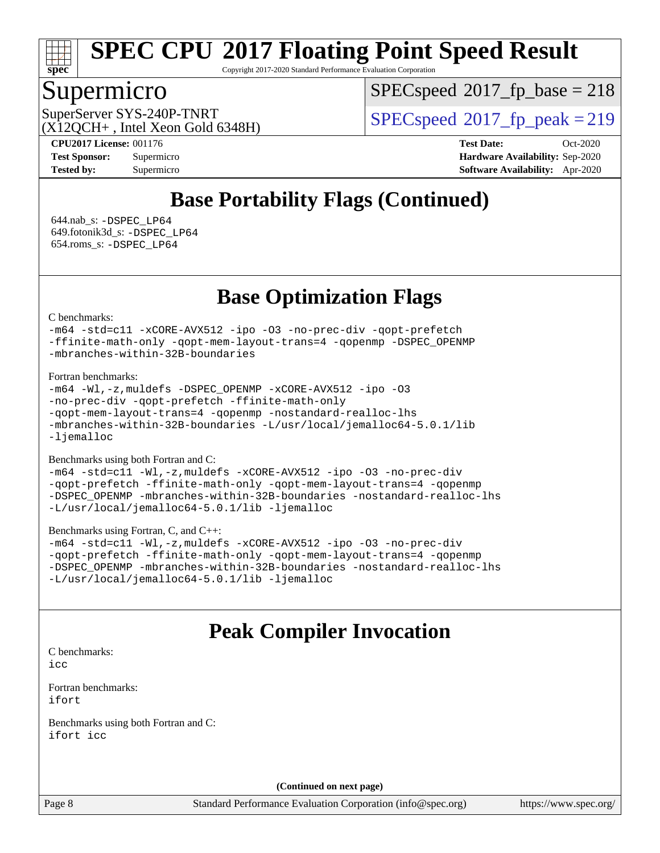

Copyright 2017-2020 Standard Performance Evaluation Corporation

### Supermicro

[SPECspeed](http://www.spec.org/auto/cpu2017/Docs/result-fields.html#SPECspeed2017fpbase)<sup>®</sup>2017 fp base = 218

 $(X12OCH+$ , Intel Xeon Gold 6348H)

SuperServer SYS-240P-TNRT  $SPPC speed^{\circ}2017$  fp\_peak = 219

**[CPU2017 License:](http://www.spec.org/auto/cpu2017/Docs/result-fields.html#CPU2017License)** 001176 **[Test Date:](http://www.spec.org/auto/cpu2017/Docs/result-fields.html#TestDate)** Oct-2020 **[Test Sponsor:](http://www.spec.org/auto/cpu2017/Docs/result-fields.html#TestSponsor)** Supermicro **[Hardware Availability:](http://www.spec.org/auto/cpu2017/Docs/result-fields.html#HardwareAvailability)** Sep-2020 **[Tested by:](http://www.spec.org/auto/cpu2017/Docs/result-fields.html#Testedby)** Supermicro **[Software Availability:](http://www.spec.org/auto/cpu2017/Docs/result-fields.html#SoftwareAvailability)** Apr-2020

## **[Base Portability Flags \(Continued\)](http://www.spec.org/auto/cpu2017/Docs/result-fields.html#BasePortabilityFlags)**

 644.nab\_s: [-DSPEC\\_LP64](http://www.spec.org/cpu2017/results/res2020q4/cpu2017-20201012-24186.flags.html#suite_basePORTABILITY644_nab_s_DSPEC_LP64) 649.fotonik3d\_s: [-DSPEC\\_LP64](http://www.spec.org/cpu2017/results/res2020q4/cpu2017-20201012-24186.flags.html#suite_basePORTABILITY649_fotonik3d_s_DSPEC_LP64) 654.roms\_s: [-DSPEC\\_LP64](http://www.spec.org/cpu2017/results/res2020q4/cpu2017-20201012-24186.flags.html#suite_basePORTABILITY654_roms_s_DSPEC_LP64)

## **[Base Optimization Flags](http://www.spec.org/auto/cpu2017/Docs/result-fields.html#BaseOptimizationFlags)**

### [C benchmarks](http://www.spec.org/auto/cpu2017/Docs/result-fields.html#Cbenchmarks):

[-m64](http://www.spec.org/cpu2017/results/res2020q4/cpu2017-20201012-24186.flags.html#user_CCbase_m64-icc) [-std=c11](http://www.spec.org/cpu2017/results/res2020q4/cpu2017-20201012-24186.flags.html#user_CCbase_std-icc-std_0e1c27790398a4642dfca32ffe6c27b5796f9c2d2676156f2e42c9c44eaad0c049b1cdb667a270c34d979996257aeb8fc440bfb01818dbc9357bd9d174cb8524) [-xCORE-AVX512](http://www.spec.org/cpu2017/results/res2020q4/cpu2017-20201012-24186.flags.html#user_CCbase_f-xCORE-AVX512) [-ipo](http://www.spec.org/cpu2017/results/res2020q4/cpu2017-20201012-24186.flags.html#user_CCbase_f-ipo) [-O3](http://www.spec.org/cpu2017/results/res2020q4/cpu2017-20201012-24186.flags.html#user_CCbase_f-O3) [-no-prec-div](http://www.spec.org/cpu2017/results/res2020q4/cpu2017-20201012-24186.flags.html#user_CCbase_f-no-prec-div) [-qopt-prefetch](http://www.spec.org/cpu2017/results/res2020q4/cpu2017-20201012-24186.flags.html#user_CCbase_f-qopt-prefetch) [-ffinite-math-only](http://www.spec.org/cpu2017/results/res2020q4/cpu2017-20201012-24186.flags.html#user_CCbase_f_finite_math_only_cb91587bd2077682c4b38af759c288ed7c732db004271a9512da14a4f8007909a5f1427ecbf1a0fb78ff2a814402c6114ac565ca162485bbcae155b5e4258871) [-qopt-mem-layout-trans=4](http://www.spec.org/cpu2017/results/res2020q4/cpu2017-20201012-24186.flags.html#user_CCbase_f-qopt-mem-layout-trans_fa39e755916c150a61361b7846f310bcdf6f04e385ef281cadf3647acec3f0ae266d1a1d22d972a7087a248fd4e6ca390a3634700869573d231a252c784941a8) [-qopenmp](http://www.spec.org/cpu2017/results/res2020q4/cpu2017-20201012-24186.flags.html#user_CCbase_qopenmp_16be0c44f24f464004c6784a7acb94aca937f053568ce72f94b139a11c7c168634a55f6653758ddd83bcf7b8463e8028bb0b48b77bcddc6b78d5d95bb1df2967) [-DSPEC\\_OPENMP](http://www.spec.org/cpu2017/results/res2020q4/cpu2017-20201012-24186.flags.html#suite_CCbase_DSPEC_OPENMP) [-mbranches-within-32B-boundaries](http://www.spec.org/cpu2017/results/res2020q4/cpu2017-20201012-24186.flags.html#user_CCbase_f-mbranches-within-32B-boundaries)

### [Fortran benchmarks](http://www.spec.org/auto/cpu2017/Docs/result-fields.html#Fortranbenchmarks):

```
-m64-Wl,-z,muldefs-xCORE-AVX512-ipo-O3
-no-prec-div -qopt-prefetch -ffinite-math-only
-qopt-mem-layout-trans=4 -qopenmp -nostandard-realloc-lhs
-mbranches-within-32B-boundaries -L/usr/local/jemalloc64-5.0.1/lib
-ljemalloc
```
### [Benchmarks using both Fortran and C](http://www.spec.org/auto/cpu2017/Docs/result-fields.html#BenchmarksusingbothFortranandC):

```
-m64 -std=c11 -Wl,-z,muldefs -xCORE-AVX512 -ipo -O3 -no-prec-div
-qopt-prefetch -ffinite-math-only -qopt-mem-layout-trans=4 -qopenmp
-DSPEC_OPENMP -mbranches-within-32B-boundaries -nostandard-realloc-lhs
-L/usr/local/jemalloc64-5.0.1/lib -ljemalloc
```
### [Benchmarks using Fortran, C, and C++:](http://www.spec.org/auto/cpu2017/Docs/result-fields.html#BenchmarksusingFortranCandCXX)

```
-m64 -std=c11 -Wl,-z,muldefs -xCORE-AVX512 -ipo -O3 -no-prec-div
-qopt-prefetch -ffinite-math-only -qopt-mem-layout-trans=4 -qopenmp
-DSPEC_OPENMP -mbranches-within-32B-boundaries -nostandard-realloc-lhs
-L/usr/local/jemalloc64-5.0.1/lib -ljemalloc
```
### **[Peak Compiler Invocation](http://www.spec.org/auto/cpu2017/Docs/result-fields.html#PeakCompilerInvocation)**

[C benchmarks](http://www.spec.org/auto/cpu2017/Docs/result-fields.html#Cbenchmarks): [icc](http://www.spec.org/cpu2017/results/res2020q4/cpu2017-20201012-24186.flags.html#user_CCpeak_intel_icc_66fc1ee009f7361af1fbd72ca7dcefbb700085f36577c54f309893dd4ec40d12360134090235512931783d35fd58c0460139e722d5067c5574d8eaf2b3e37e92)

[Fortran benchmarks](http://www.spec.org/auto/cpu2017/Docs/result-fields.html#Fortranbenchmarks): [ifort](http://www.spec.org/cpu2017/results/res2020q4/cpu2017-20201012-24186.flags.html#user_FCpeak_intel_ifort_8111460550e3ca792625aed983ce982f94888b8b503583aa7ba2b8303487b4d8a21a13e7191a45c5fd58ff318f48f9492884d4413fa793fd88dd292cad7027ca)

[Benchmarks using both Fortran and C](http://www.spec.org/auto/cpu2017/Docs/result-fields.html#BenchmarksusingbothFortranandC): [ifort](http://www.spec.org/cpu2017/results/res2020q4/cpu2017-20201012-24186.flags.html#user_CC_FCpeak_intel_ifort_8111460550e3ca792625aed983ce982f94888b8b503583aa7ba2b8303487b4d8a21a13e7191a45c5fd58ff318f48f9492884d4413fa793fd88dd292cad7027ca) [icc](http://www.spec.org/cpu2017/results/res2020q4/cpu2017-20201012-24186.flags.html#user_CC_FCpeak_intel_icc_66fc1ee009f7361af1fbd72ca7dcefbb700085f36577c54f309893dd4ec40d12360134090235512931783d35fd58c0460139e722d5067c5574d8eaf2b3e37e92)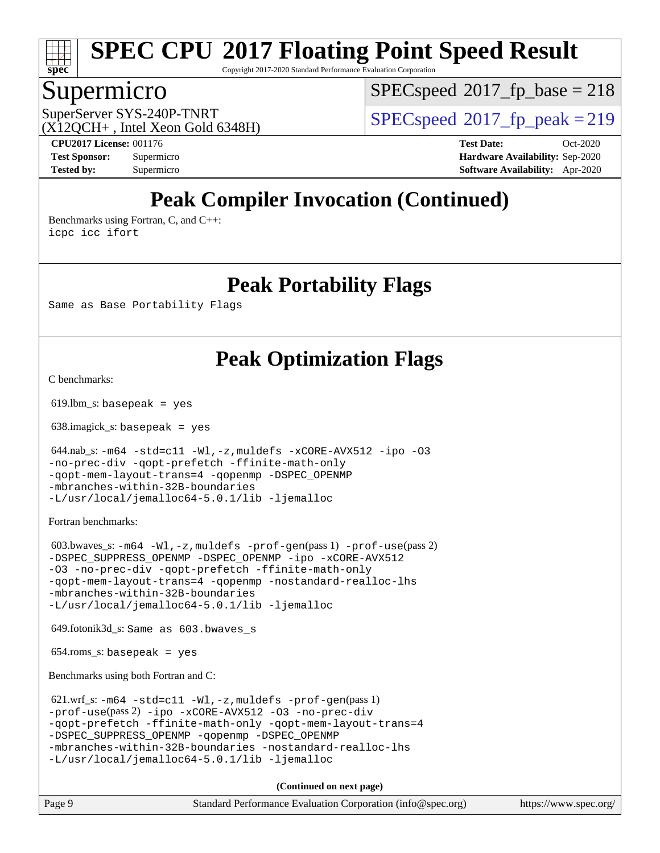

Copyright 2017-2020 Standard Performance Evaluation Corporation

### Supermicro

[SPECspeed](http://www.spec.org/auto/cpu2017/Docs/result-fields.html#SPECspeed2017fpbase)<sup>®</sup>2017 fp base = 218

 $(X12OCH+$ , Intel Xeon Gold 6348H)

SuperServer SYS-240P-TNRT  $SPPCspeed@2017$  fp\_peak = 219

**[CPU2017 License:](http://www.spec.org/auto/cpu2017/Docs/result-fields.html#CPU2017License)** 001176 **[Test Date:](http://www.spec.org/auto/cpu2017/Docs/result-fields.html#TestDate)** Oct-2020 **[Test Sponsor:](http://www.spec.org/auto/cpu2017/Docs/result-fields.html#TestSponsor)** Supermicro **[Hardware Availability:](http://www.spec.org/auto/cpu2017/Docs/result-fields.html#HardwareAvailability)** Sep-2020 **[Tested by:](http://www.spec.org/auto/cpu2017/Docs/result-fields.html#Testedby)** Supermicro **[Software Availability:](http://www.spec.org/auto/cpu2017/Docs/result-fields.html#SoftwareAvailability)** Apr-2020

## **[Peak Compiler Invocation \(Continued\)](http://www.spec.org/auto/cpu2017/Docs/result-fields.html#PeakCompilerInvocation)**

[Benchmarks using Fortran, C, and C++:](http://www.spec.org/auto/cpu2017/Docs/result-fields.html#BenchmarksusingFortranCandCXX) [icpc](http://www.spec.org/cpu2017/results/res2020q4/cpu2017-20201012-24186.flags.html#user_CC_CXX_FCpeak_intel_icpc_c510b6838c7f56d33e37e94d029a35b4a7bccf4766a728ee175e80a419847e808290a9b78be685c44ab727ea267ec2f070ec5dc83b407c0218cded6866a35d07) [icc](http://www.spec.org/cpu2017/results/res2020q4/cpu2017-20201012-24186.flags.html#user_CC_CXX_FCpeak_intel_icc_66fc1ee009f7361af1fbd72ca7dcefbb700085f36577c54f309893dd4ec40d12360134090235512931783d35fd58c0460139e722d5067c5574d8eaf2b3e37e92) [ifort](http://www.spec.org/cpu2017/results/res2020q4/cpu2017-20201012-24186.flags.html#user_CC_CXX_FCpeak_intel_ifort_8111460550e3ca792625aed983ce982f94888b8b503583aa7ba2b8303487b4d8a21a13e7191a45c5fd58ff318f48f9492884d4413fa793fd88dd292cad7027ca)

**[Peak Portability Flags](http://www.spec.org/auto/cpu2017/Docs/result-fields.html#PeakPortabilityFlags)**

Same as Base Portability Flags

## **[Peak Optimization Flags](http://www.spec.org/auto/cpu2017/Docs/result-fields.html#PeakOptimizationFlags)**

[C benchmarks](http://www.spec.org/auto/cpu2017/Docs/result-fields.html#Cbenchmarks):

 $619.$ lbm\_s: basepeak = yes

638.imagick\_s: basepeak = yes

 $644.nab_s: -m64 -std = c11 -W1, -z,$  $644.nab_s: -m64 -std = c11 -W1, -z,$  $644.nab_s: -m64 -std = c11 -W1, -z,$ muldefs  $-xCORE-AVX512 -ipo -03$  $-xCORE-AVX512 -ipo -03$  $-xCORE-AVX512 -ipo -03$  $-xCORE-AVX512 -ipo -03$ [-no-prec-div](http://www.spec.org/cpu2017/results/res2020q4/cpu2017-20201012-24186.flags.html#user_peakCOPTIMIZE644_nab_s_f-no-prec-div) [-qopt-prefetch](http://www.spec.org/cpu2017/results/res2020q4/cpu2017-20201012-24186.flags.html#user_peakCOPTIMIZE644_nab_s_f-qopt-prefetch) [-ffinite-math-only](http://www.spec.org/cpu2017/results/res2020q4/cpu2017-20201012-24186.flags.html#user_peakCOPTIMIZE644_nab_s_f_finite_math_only_cb91587bd2077682c4b38af759c288ed7c732db004271a9512da14a4f8007909a5f1427ecbf1a0fb78ff2a814402c6114ac565ca162485bbcae155b5e4258871) [-qopt-mem-layout-trans=4](http://www.spec.org/cpu2017/results/res2020q4/cpu2017-20201012-24186.flags.html#user_peakCOPTIMIZE644_nab_s_f-qopt-mem-layout-trans_fa39e755916c150a61361b7846f310bcdf6f04e385ef281cadf3647acec3f0ae266d1a1d22d972a7087a248fd4e6ca390a3634700869573d231a252c784941a8) [-qopenmp](http://www.spec.org/cpu2017/results/res2020q4/cpu2017-20201012-24186.flags.html#user_peakCOPTIMIZE644_nab_s_qopenmp_16be0c44f24f464004c6784a7acb94aca937f053568ce72f94b139a11c7c168634a55f6653758ddd83bcf7b8463e8028bb0b48b77bcddc6b78d5d95bb1df2967) [-DSPEC\\_OPENMP](http://www.spec.org/cpu2017/results/res2020q4/cpu2017-20201012-24186.flags.html#suite_peakCOPTIMIZE644_nab_s_DSPEC_OPENMP) [-mbranches-within-32B-boundaries](http://www.spec.org/cpu2017/results/res2020q4/cpu2017-20201012-24186.flags.html#user_peakEXTRA_COPTIMIZE644_nab_s_f-mbranches-within-32B-boundaries) [-L/usr/local/jemalloc64-5.0.1/lib](http://www.spec.org/cpu2017/results/res2020q4/cpu2017-20201012-24186.flags.html#user_peakEXTRA_LIBS644_nab_s_jemalloc_link_path64_1_cc289568b1a6c0fd3b62c91b824c27fcb5af5e8098e6ad028160d21144ef1b8aef3170d2acf0bee98a8da324cfe4f67d0a3d0c4cc4673d993d694dc2a0df248b) [-ljemalloc](http://www.spec.org/cpu2017/results/res2020q4/cpu2017-20201012-24186.flags.html#user_peakEXTRA_LIBS644_nab_s_jemalloc_link_lib_d1249b907c500fa1c0672f44f562e3d0f79738ae9e3c4a9c376d49f265a04b9c99b167ecedbf6711b3085be911c67ff61f150a17b3472be731631ba4d0471706)

[Fortran benchmarks](http://www.spec.org/auto/cpu2017/Docs/result-fields.html#Fortranbenchmarks):

 603.bwaves\_s: [-m64](http://www.spec.org/cpu2017/results/res2020q4/cpu2017-20201012-24186.flags.html#user_peakFCLD603_bwaves_s_m64-icc) [-Wl,-z,muldefs](http://www.spec.org/cpu2017/results/res2020q4/cpu2017-20201012-24186.flags.html#user_peakEXTRA_LDFLAGS603_bwaves_s_link_force_multiple1_b4cbdb97b34bdee9ceefcfe54f4c8ea74255f0b02a4b23e853cdb0e18eb4525ac79b5a88067c842dd0ee6996c24547a27a4b99331201badda8798ef8a743f577) [-prof-gen](http://www.spec.org/cpu2017/results/res2020q4/cpu2017-20201012-24186.flags.html#user_peakPASS1_FFLAGSPASS1_LDFLAGS603_bwaves_s_prof_gen_5aa4926d6013ddb2a31985c654b3eb18169fc0c6952a63635c234f711e6e63dd76e94ad52365559451ec499a2cdb89e4dc58ba4c67ef54ca681ffbe1461d6b36)(pass 1) [-prof-use](http://www.spec.org/cpu2017/results/res2020q4/cpu2017-20201012-24186.flags.html#user_peakPASS2_FFLAGSPASS2_LDFLAGS603_bwaves_s_prof_use_1a21ceae95f36a2b53c25747139a6c16ca95bd9def2a207b4f0849963b97e94f5260e30a0c64f4bb623698870e679ca08317ef8150905d41bd88c6f78df73f19)(pass 2) [-DSPEC\\_SUPPRESS\\_OPENMP](http://www.spec.org/cpu2017/results/res2020q4/cpu2017-20201012-24186.flags.html#suite_peakPASS1_FOPTIMIZE603_bwaves_s_DSPEC_SUPPRESS_OPENMP) [-DSPEC\\_OPENMP](http://www.spec.org/cpu2017/results/res2020q4/cpu2017-20201012-24186.flags.html#suite_peakPASS2_FOPTIMIZE603_bwaves_s_DSPEC_OPENMP) [-ipo](http://www.spec.org/cpu2017/results/res2020q4/cpu2017-20201012-24186.flags.html#user_peakPASS1_FOPTIMIZEPASS2_FOPTIMIZE603_bwaves_s_f-ipo) [-xCORE-AVX512](http://www.spec.org/cpu2017/results/res2020q4/cpu2017-20201012-24186.flags.html#user_peakPASS2_FOPTIMIZE603_bwaves_s_f-xCORE-AVX512) [-O3](http://www.spec.org/cpu2017/results/res2020q4/cpu2017-20201012-24186.flags.html#user_peakPASS1_FOPTIMIZEPASS2_FOPTIMIZE603_bwaves_s_f-O3) [-no-prec-div](http://www.spec.org/cpu2017/results/res2020q4/cpu2017-20201012-24186.flags.html#user_peakPASS1_FOPTIMIZEPASS2_FOPTIMIZE603_bwaves_s_f-no-prec-div) [-qopt-prefetch](http://www.spec.org/cpu2017/results/res2020q4/cpu2017-20201012-24186.flags.html#user_peakPASS1_FOPTIMIZEPASS2_FOPTIMIZE603_bwaves_s_f-qopt-prefetch) [-ffinite-math-only](http://www.spec.org/cpu2017/results/res2020q4/cpu2017-20201012-24186.flags.html#user_peakPASS1_FOPTIMIZEPASS2_FOPTIMIZE603_bwaves_s_f_finite_math_only_cb91587bd2077682c4b38af759c288ed7c732db004271a9512da14a4f8007909a5f1427ecbf1a0fb78ff2a814402c6114ac565ca162485bbcae155b5e4258871) [-qopt-mem-layout-trans=4](http://www.spec.org/cpu2017/results/res2020q4/cpu2017-20201012-24186.flags.html#user_peakPASS1_FOPTIMIZEPASS2_FOPTIMIZE603_bwaves_s_f-qopt-mem-layout-trans_fa39e755916c150a61361b7846f310bcdf6f04e385ef281cadf3647acec3f0ae266d1a1d22d972a7087a248fd4e6ca390a3634700869573d231a252c784941a8) [-qopenmp](http://www.spec.org/cpu2017/results/res2020q4/cpu2017-20201012-24186.flags.html#user_peakPASS2_FOPTIMIZE603_bwaves_s_qopenmp_16be0c44f24f464004c6784a7acb94aca937f053568ce72f94b139a11c7c168634a55f6653758ddd83bcf7b8463e8028bb0b48b77bcddc6b78d5d95bb1df2967) [-nostandard-realloc-lhs](http://www.spec.org/cpu2017/results/res2020q4/cpu2017-20201012-24186.flags.html#user_peakEXTRA_FOPTIMIZE603_bwaves_s_f_2003_std_realloc_82b4557e90729c0f113870c07e44d33d6f5a304b4f63d4c15d2d0f1fab99f5daaed73bdb9275d9ae411527f28b936061aa8b9c8f2d63842963b95c9dd6426b8a) [-mbranches-within-32B-boundaries](http://www.spec.org/cpu2017/results/res2020q4/cpu2017-20201012-24186.flags.html#user_peakEXTRA_FOPTIMIZE603_bwaves_s_f-mbranches-within-32B-boundaries) [-L/usr/local/jemalloc64-5.0.1/lib](http://www.spec.org/cpu2017/results/res2020q4/cpu2017-20201012-24186.flags.html#user_peakEXTRA_LIBS603_bwaves_s_jemalloc_link_path64_1_cc289568b1a6c0fd3b62c91b824c27fcb5af5e8098e6ad028160d21144ef1b8aef3170d2acf0bee98a8da324cfe4f67d0a3d0c4cc4673d993d694dc2a0df248b) [-ljemalloc](http://www.spec.org/cpu2017/results/res2020q4/cpu2017-20201012-24186.flags.html#user_peakEXTRA_LIBS603_bwaves_s_jemalloc_link_lib_d1249b907c500fa1c0672f44f562e3d0f79738ae9e3c4a9c376d49f265a04b9c99b167ecedbf6711b3085be911c67ff61f150a17b3472be731631ba4d0471706)

649.fotonik3d\_s: Same as 603.bwaves\_s

654.roms\_s: basepeak = yes

[Benchmarks using both Fortran and C](http://www.spec.org/auto/cpu2017/Docs/result-fields.html#BenchmarksusingbothFortranandC):

```
 621.wrf_s: -m64 -std=c11 -Wl,-z,muldefs -prof-gen(pass 1)
-prof-use(pass 2) -ipo -xCORE-AVX512 -O3 -no-prec-div
-qopt-prefetch -ffinite-math-only -qopt-mem-layout-trans=4
-qopenmp -DSPEC OPENMP
-mbranches-within-32B-boundaries -nostandard-realloc-lhs
-L/usr/local/jemalloc64-5.0.1/lib -ljemalloc
```

| Page 9 | Standard Performance Evaluation Corporation (info@spec.org) | https://www.spec.org/ |
|--------|-------------------------------------------------------------|-----------------------|
|--------|-------------------------------------------------------------|-----------------------|